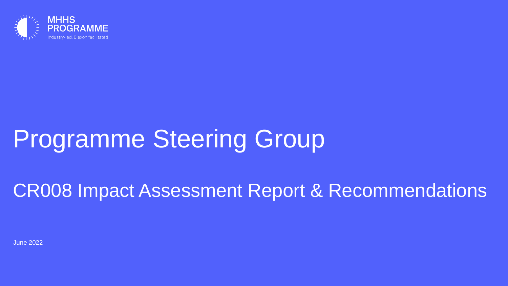

# Programme Steering Group

# CR008 Impact Assessment Report & Recommendations

June 2022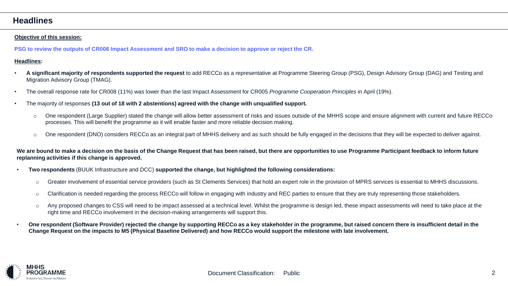### **Headlines**

#### **Objective of this session:**

**PSG to review the outputs of CR008 Impact Assessment and SRO to make a decision to approve or reject the CR.**

#### **Headlines:**

- **A significant majority of respondents supported the request** to add RECCo as a representative at Programme Steering Group (PSG), Design Advisory Group (DAG) and Testing and Migration Advisory Group (TMAG).
- The overall response rate for CR008 (11%) was lower than the last Impact Assessment for CR005 *Programme Cooperation Principles* in April (19%).
- The majority of responses **(13 out of 18 with 2 abstentions) agreed with the change with unqualified support.**
	- o One respondent (Large Supplier) stated the change will allow better assessment of risks and issues outside of the MHHS scope and ensure alignment with current and future RECCo processes. This will benefit the programme as it will enable faster and more reliable decision making.
	- o One respondent (DNO) considers RECCo as an integral part of MHHS delivery and as such should be fully engaged in the decisions that they will be expected to deliver against.

**We are bound to make a decision on the basis of the Change Request that has been raised, but there are opportunities to use Programme Participant feedback to inform future replanning activities if this change is approved.**

- **Two respondents** (BUUK Infrastructure and DCC) **supported the change, but highlighted the following considerations:**
	- o Greater involvement of essential service providers (such as St Clements Services) that hold an expert role in the provision of MPRS services is essential to MHHS discussions.
	- o Clarification is needed regarding the process RECCo will follow in engaging with industry and REC parties to ensure that they are truly representing those stakeholders.
	- o Any proposed changes to CSS will need to be impact assessed at a technical level. Whilst the programme is design led, these impact assessments will need to take place at the right time and RECCo involvement in the decision-making arrangements will support this.
- **One respondent (Software Provider) rejected the change by supporting RECCo as a key stakeholder in the programme, but raised concern there is insufficient detail in the Change Request on the impacts to M5 (Physical Baseline Delivered) and how RECCo would support the milestone with late involvement.**